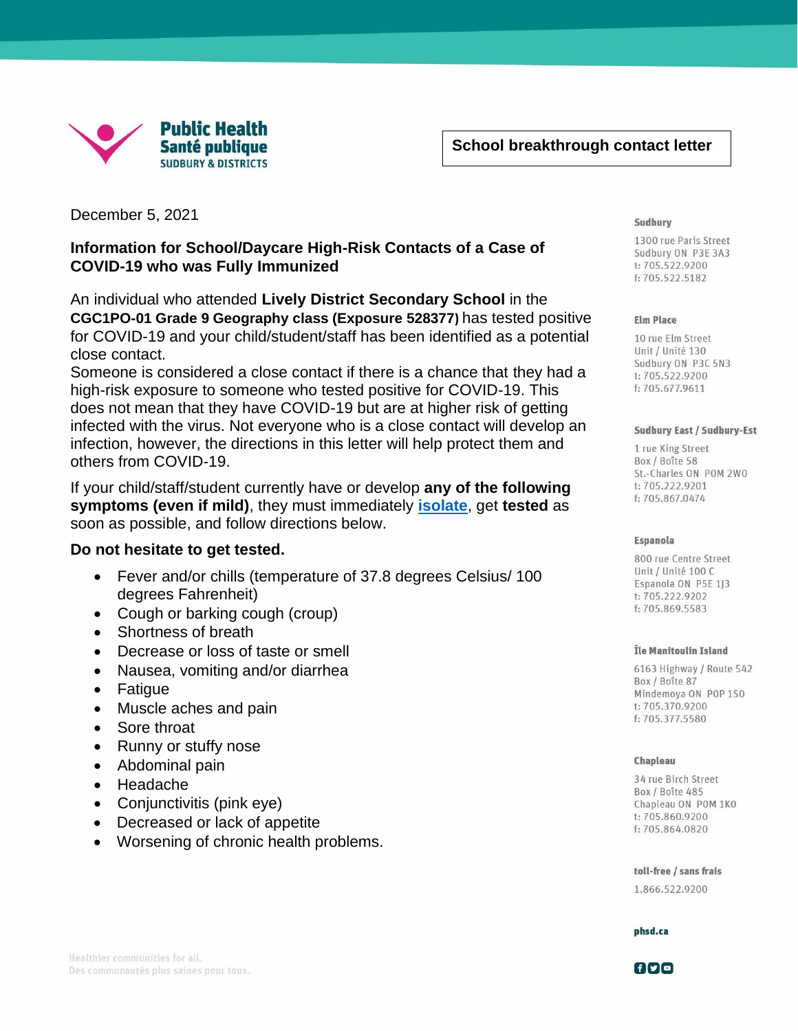

December 5, 2021

[Type here]

## **Information for School/Daycare High-Risk Contacts of a Case of COVID-19 who was Fully Immunized**

An individual who attended **Lively District Secondary School** in the **CGC1PO-01 Grade 9 Geography class (Exposure 528377)** has tested positive for COVID-19 and your child/student/staff has been identified as a potential close contact.

Someone is considered a close contact if there is a chance that they had a high-risk exposure to someone who tested positive for COVID-19. This does not mean that they have COVID-19 but are at higher risk of getting infected with the virus. Not everyone who is a close contact will develop an infection, however, the directions in this letter will help protect them and others from COVID-19.

If your child/staff/student currently have or develop **any of the following symptoms (even if mild)**, they must immediately **[isolate](https://www.publichealthontario.ca/-/media/documents/ncov/factsheet-covid-19-how-to-self-isolate.pdf?la=en)**, get **tested** as soon as possible, and follow directions below.

### **Do not hesitate to get tested.**

- Fever and/or chills (temperature of 37.8 degrees Celsius/ 100 degrees Fahrenheit)
- Cough or barking cough (croup)
- Shortness of breath
- Decrease or loss of taste or smell
- Nausea, vomiting and/or diarrhea
- Fatigue
- Muscle aches and pain
- Sore throat
- Runny or stuffy nose
- Abdominal pain
- Headache
- Conjunctivitis (pink eye)
- Decreased or lack of appetite
- Worsening of chronic health problems.

#### Sudbury

[Grab your reader's attention

emphasize a key point. To place a key point. To place a key point. To place a key point.

1300 rue Paris Street Sudbury ON P3E 3A3 t: 705.522.9200 f: 705.522.5182

### **Elm Place**

10 rue Elm Street Unit / Unité 130 Sudbury ON P3C 5N3 t: 705.522.9200 f: 705.677.9611

#### **Sudbury East / Sudbury-Est**

1 rue King Street Box / Boîte 58 St.-Charles ON POM 2WO t: 705.222.9201 f: 705.867.0474

#### **Espanola**

800 rue Centre Street Unit / Unité 100 C Espanola ON P5E 1J3 t: 705.222.9202 f: 705.869.5583

#### Île Manitoulin Island

6163 Highway / Route 542 Box / Boîte 87 Mindemoya ON POP 1SO t: 705.370.9200 f: 705.377.5580

### Chapleau

34 rue Birch Street Box / Boîte 485 Chapleau ON POM 1KO t:705.860.9200 f: 705.864.0820

toll-free / sans frais 1.866.522.9200

phsd.ca

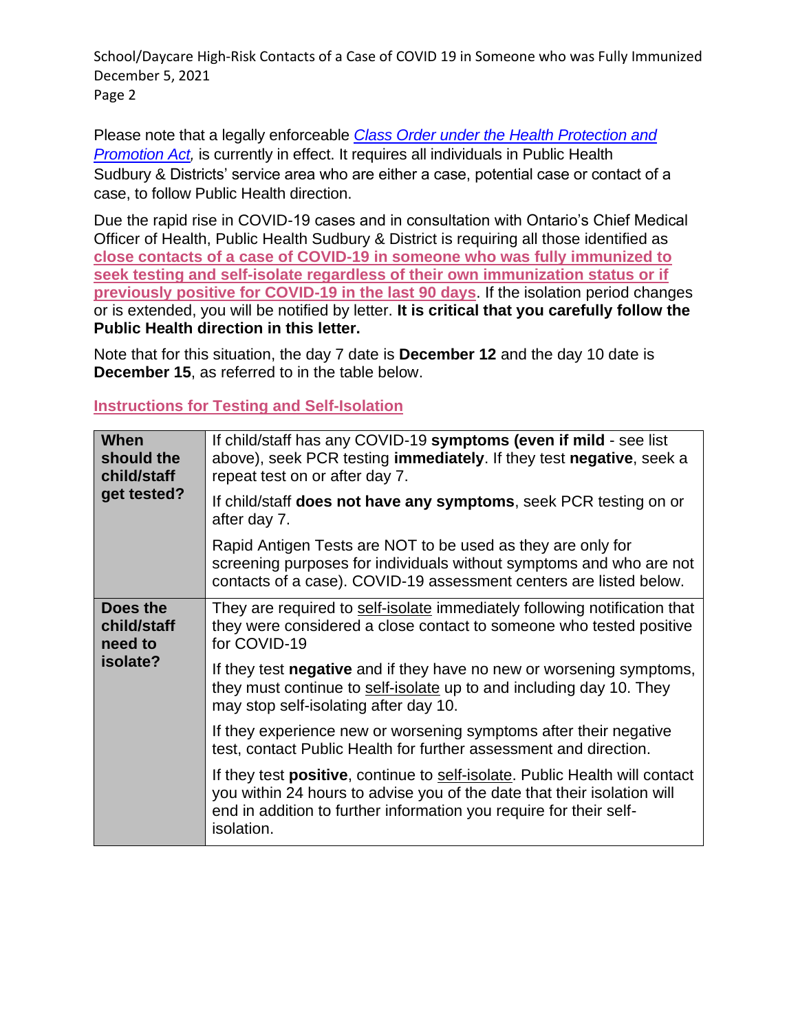School/Daycare High-Risk Contacts of a Case of COVID 19 in Someone who was Fully Immunized December 5, 2021 Page 2

Please note that a legally enforceable *Class Order under the [Health Protection and](https://www.phsd.ca/health-topics-programs/diseases-infections/coronavirus/closures-orders-and-enforcement-covid-19/class-order-made-pursuant-to-section-22-5-0-1-of-the-health-protection-and-promotion-act-r-s-o-1990-c-h-7-october-28-2021/)  [Promotion Act,](https://www.phsd.ca/health-topics-programs/diseases-infections/coronavirus/closures-orders-and-enforcement-covid-19/class-order-made-pursuant-to-section-22-5-0-1-of-the-health-protection-and-promotion-act-r-s-o-1990-c-h-7-october-28-2021/)* is currently in effect. It requires all individuals in Public Health Sudbury & Districts' service area who are either a case, potential case or contact of a case, to follow Public Health direction.

Due the rapid rise in COVID-19 cases and in consultation with Ontario's Chief Medical Officer of Health, Public Health Sudbury & District is requiring all those identified as **close contacts of a case of COVID-19 in someone who was fully immunized to seek testing and self-isolate regardless of their own immunization status or if previously positive for COVID-19 in the last 90 days**. If the isolation period changes or is extended, you will be notified by letter. **It is critical that you carefully follow the Public Health direction in this letter.**

Note that for this situation, the day 7 date is **December 12** and the day 10 date is **December 15**, as referred to in the table below.

# **Instructions for Testing and Self-Isolation**

| When<br>should the<br>child/staff<br>get tested? | If child/staff has any COVID-19 symptoms (even if mild - see list<br>above), seek PCR testing immediately. If they test negative, seek a<br>repeat test on or after day 7.                                                                         |
|--------------------------------------------------|----------------------------------------------------------------------------------------------------------------------------------------------------------------------------------------------------------------------------------------------------|
|                                                  | If child/staff <b>does not have any symptoms</b> , seek PCR testing on or<br>after day 7.                                                                                                                                                          |
|                                                  | Rapid Antigen Tests are NOT to be used as they are only for<br>screening purposes for individuals without symptoms and who are not<br>contacts of a case). COVID-19 assessment centers are listed below.                                           |
| Does the<br>child/staff<br>need to<br>isolate?   | They are required to self-isolate immediately following notification that<br>they were considered a close contact to someone who tested positive<br>for COVID-19                                                                                   |
|                                                  | If they test <b>negative</b> and if they have no new or worsening symptoms,<br>they must continue to self-isolate up to and including day 10. They<br>may stop self-isolating after day 10.                                                        |
|                                                  | If they experience new or worsening symptoms after their negative<br>test, contact Public Health for further assessment and direction.                                                                                                             |
|                                                  | If they test <b>positive</b> , continue to self-isolate. Public Health will contact<br>you within 24 hours to advise you of the date that their isolation will<br>end in addition to further information you require for their self-<br>isolation. |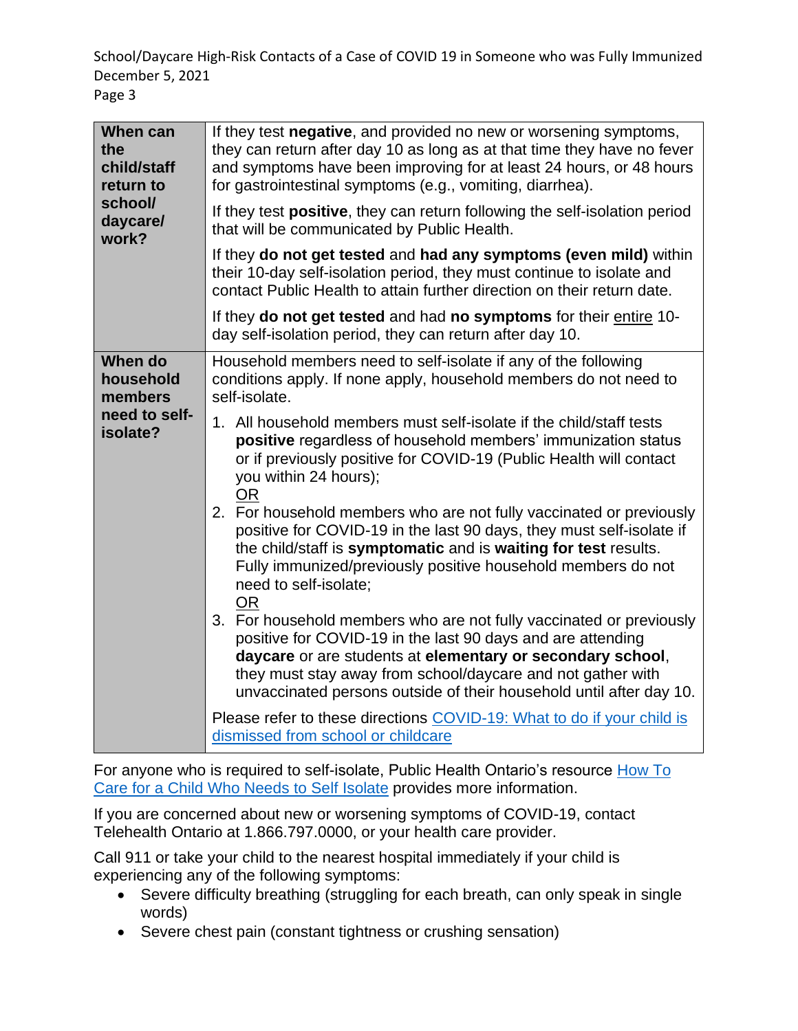School/Daycare High-Risk Contacts of a Case of COVID 19 in Someone who was Fully Immunized December 5, 2021 Page 3

| When can<br>the<br>child/staff<br>return to<br>school/<br>daycare/<br>work? | If they test negative, and provided no new or worsening symptoms,<br>they can return after day 10 as long as at that time they have no fever<br>and symptoms have been improving for at least 24 hours, or 48 hours<br>for gastrointestinal symptoms (e.g., vomiting, diarrhea).<br>If they test positive, they can return following the self-isolation period<br>that will be communicated by Public Health.<br>If they do not get tested and had any symptoms (even mild) within<br>their 10-day self-isolation period, they must continue to isolate and<br>contact Public Health to attain further direction on their return date.<br>If they do not get tested and had no symptoms for their entire 10-<br>day self-isolation period, they can return after day 10.                                                                                                                                                                                                                                                                                                                                                                                                                   |
|-----------------------------------------------------------------------------|--------------------------------------------------------------------------------------------------------------------------------------------------------------------------------------------------------------------------------------------------------------------------------------------------------------------------------------------------------------------------------------------------------------------------------------------------------------------------------------------------------------------------------------------------------------------------------------------------------------------------------------------------------------------------------------------------------------------------------------------------------------------------------------------------------------------------------------------------------------------------------------------------------------------------------------------------------------------------------------------------------------------------------------------------------------------------------------------------------------------------------------------------------------------------------------------|
| When do<br>household<br>members<br>need to self-<br>isolate?                | Household members need to self-isolate if any of the following<br>conditions apply. If none apply, household members do not need to<br>self-isolate.<br>1. All household members must self-isolate if the child/staff tests<br>positive regardless of household members' immunization status<br>or if previously positive for COVID-19 (Public Health will contact<br>you within 24 hours);<br><b>OR</b><br>2. For household members who are not fully vaccinated or previously<br>positive for COVID-19 in the last 90 days, they must self-isolate if<br>the child/staff is symptomatic and is waiting for test results.<br>Fully immunized/previously positive household members do not<br>need to self-isolate;<br><b>OR</b><br>3. For household members who are not fully vaccinated or previously<br>positive for COVID-19 in the last 90 days and are attending<br>daycare or are students at elementary or secondary school,<br>they must stay away from school/daycare and not gather with<br>unvaccinated persons outside of their household until after day 10.<br>Please refer to these directions COVID-19: What to do if your child is<br>dismissed from school or childcare |

For anyone who is required to self-isolate, Public Health Ontario's resource [How To](https://www.publichealthontario.ca/-/media/documents/ncov/factsheet/2021/04/child-isolation/fact-sheet-self-isolation-child.pdf?la=en#:~:text=Ways%20to%20support%20the%20child%20who%20needs%20to%20self%2Disolate%20include%3A&text=A%20parent%20or%20caregiver%20should,children%20safe%20in%20the%20home.&text=Provide%20hugs%20and%20cuddles%2C%20but,(e.g.%2C%20avoid%20kisses).)  [Care for a Child Who Needs to Self Isolate](https://www.publichealthontario.ca/-/media/documents/ncov/factsheet/2021/04/child-isolation/fact-sheet-self-isolation-child.pdf?la=en#:~:text=Ways%20to%20support%20the%20child%20who%20needs%20to%20self%2Disolate%20include%3A&text=A%20parent%20or%20caregiver%20should,children%20safe%20in%20the%20home.&text=Provide%20hugs%20and%20cuddles%2C%20but,(e.g.%2C%20avoid%20kisses).) provides more information.

If you are concerned about new or worsening symptoms of COVID-19, contact Telehealth Ontario at 1.866.797.0000, or your health care provider.

Call 911 or take your child to the nearest hospital immediately if your child is experiencing any of the following symptoms:

- Severe difficulty breathing (struggling for each breath, can only speak in single words)
- Severe chest pain (constant tightness or crushing sensation)